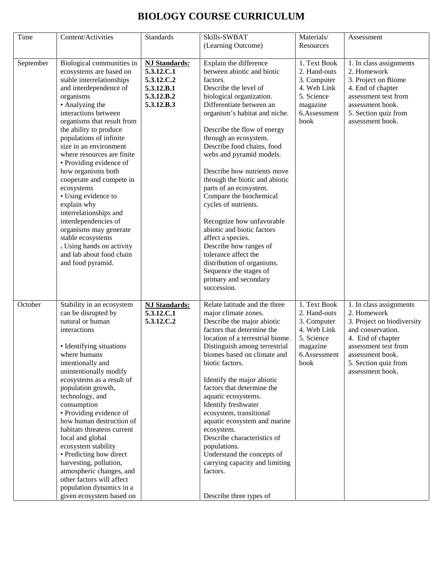| Time      | Content/Activities                                                                                                                                                                                                                                                                                                                                                                                                                                                                                                                                                                                                             | <b>Standards</b>                                                                           | Skills-SWBAT<br>(Learning Outcome)                                                                                                                                                                                                                                                                                                                                                                                                                                                                                                                                                                                                                                                   | Materials/<br>Resources                                                                                      | Assessment                                                                                                                                                                                             |
|-----------|--------------------------------------------------------------------------------------------------------------------------------------------------------------------------------------------------------------------------------------------------------------------------------------------------------------------------------------------------------------------------------------------------------------------------------------------------------------------------------------------------------------------------------------------------------------------------------------------------------------------------------|--------------------------------------------------------------------------------------------|--------------------------------------------------------------------------------------------------------------------------------------------------------------------------------------------------------------------------------------------------------------------------------------------------------------------------------------------------------------------------------------------------------------------------------------------------------------------------------------------------------------------------------------------------------------------------------------------------------------------------------------------------------------------------------------|--------------------------------------------------------------------------------------------------------------|--------------------------------------------------------------------------------------------------------------------------------------------------------------------------------------------------------|
| September | Biological communities in<br>ecosystems are based on<br>stable interrelationships<br>and interdependence of<br>organisms<br>• Analyzing the<br>interactions between<br>organisms that result from<br>the ability to produce<br>populations of infinite<br>size in an environment<br>where resources are finite<br>• Providing evidence of<br>how organisms both<br>cooperate and compete in<br>ecosystems<br>• Using evidence to<br>explain why<br>interrelationships and<br>interdependencies of<br>organisms may generate<br>stable ecosystems<br>. Using hands on activity<br>and lab about food chain<br>and food pyramid. | <b>NJ Standards:</b><br>5.3.12.C.1<br>5.3.12.C.2<br>5.3.12.B.1<br>5.3.12.B.2<br>5.3.12.B.3 | Explain the difference<br>between abiotic and biotic<br>factors.<br>Describe the level of<br>biological organization.<br>Differentiate between an<br>organism's habitat and niche.<br>Describe the flow of energy<br>through an ecosystem.<br>Describe food chains, food<br>webs and pyramid models.<br>Describe how nutrients move<br>through the biotic and abiotic<br>parts of an ecosystem.<br>Compare the biochemical<br>cycles of nutrients.<br>Recognize how unfavorable<br>abiotic and biotic factors<br>affect a species.<br>Describe how ranges of<br>tolerance affect the<br>distribution of organisms.<br>Sequence the stages of<br>primary and secondary<br>succession. | 1. Text Book<br>2. Hand-outs<br>3. Computer<br>4. Web Link<br>5. Science<br>magazine<br>6.Assessment<br>book | 1. In class assignments<br>2. Homework<br>3. Project on Biome<br>4. End of chapter<br>assessment test from<br>assessment book.<br>5. Section quiz from<br>assessment book.                             |
| October   | Stability in an ecosystem<br>can be disrupted by<br>natural or human<br>interactions<br>• Identifying situations<br>where humans<br>intentionally and<br>unintentionally modify<br>ecosystems as a result of<br>population growth,<br>technology, and<br>consumption<br>• Providing evidence of<br>how human destruction of<br>habitats threatens current<br>local and global<br>ecosystem stability<br>• Predicting how direct<br>harvesting, pollution,<br>atmospheric changes, and<br>other factors will affect<br>population dynamics in a<br>given ecosystem based on                                                     | <b>NJ Standards:</b><br>5.3.12.C.1<br>5.3.12.C.2                                           | Relate latitude and the three<br>major climate zones.<br>Describe the major abiotic<br>factors that determine the<br>location of a terrestrial biome.<br>Distinguish among terrestrial<br>biomes based on climate and<br>biotic factors.<br>Identify the major abiotic<br>factors that determine the<br>aquatic ecosystems.<br>Identify freshwater<br>ecosystem, transitional<br>aquatic ecosystem and marine<br>ecosystem.<br>Describe characteristics of<br>populations.<br>Understand the concepts of<br>carrying capacity and limiting<br>factors.<br>Describe three types of                                                                                                    | 1. Text Book<br>2. Hand-outs<br>3. Computer<br>4. Web Link<br>5. Science<br>magazine<br>6.Assessment<br>book | 1. In class assignments<br>2. Homework<br>3. Project on biodiversity<br>and conservation.<br>4. End of chapter<br>assessment test from<br>assessment book.<br>5. Section quiz from<br>assessment book. |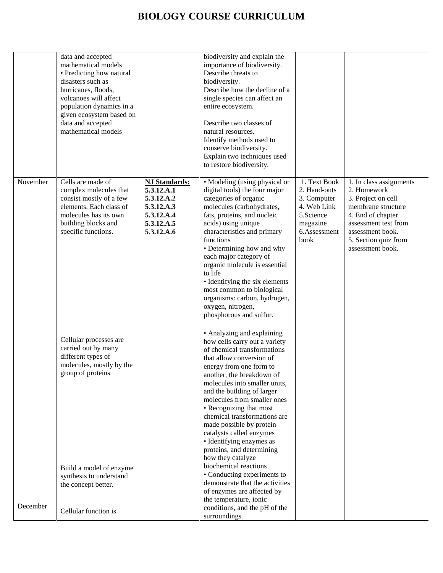|          | data and accepted<br>mathematical models<br>• Predicting how natural<br>disasters such as<br>hurricanes, floods,<br>volcanoes will affect<br>population dynamics in a<br>given ecosystem based on<br>data and accepted<br>mathematical models |                                                                                                          | biodiversity and explain the<br>importance of biodiversity.<br>Describe threats to<br>biodiversity.<br>Describe how the decline of a<br>single species can affect an<br>entire ecosystem.<br>Describe two classes of<br>natural resources.<br>Identify methods used to<br>conserve biodiversity.<br>Explain two techniques used<br>to restore biodiversity.                                                                                                                                                                                                                                            |                                                                                                             |                                                                                                                                                                                                 |
|----------|-----------------------------------------------------------------------------------------------------------------------------------------------------------------------------------------------------------------------------------------------|----------------------------------------------------------------------------------------------------------|--------------------------------------------------------------------------------------------------------------------------------------------------------------------------------------------------------------------------------------------------------------------------------------------------------------------------------------------------------------------------------------------------------------------------------------------------------------------------------------------------------------------------------------------------------------------------------------------------------|-------------------------------------------------------------------------------------------------------------|-------------------------------------------------------------------------------------------------------------------------------------------------------------------------------------------------|
| November | Cells are made of<br>complex molecules that<br>consist mostly of a few<br>elements. Each class of<br>molecules has its own<br>building blocks and<br>specific functions.                                                                      | <b>NJ Standards:</b><br>5.3.12.A.1<br>5.3.12.A.2<br>5.3.12.A.3<br>5.3.12.A.4<br>5.3.12.A.5<br>5.3.12.A.6 | • Modeling (using physical or<br>digital tools) the four major<br>categories of organic<br>molecules (carbohydrates,<br>fats, proteins, and nucleic<br>acids) using unique<br>characteristics and primary<br>functions<br>• Determining how and why<br>each major category of<br>organic molecule is essential<br>to life<br>• Identifying the six elements<br>most common to biological<br>organisms: carbon, hydrogen,<br>oxygen, nitrogen,<br>phosphorous and sulfur.                                                                                                                               | 1. Text Book<br>2. Hand-outs<br>3. Computer<br>4. Web Link<br>5.Science<br>magazine<br>6.Assessment<br>book | 1. In class assignments<br>2. Homework<br>3. Project on cell<br>membrane structure<br>4. End of chapter<br>assessment test from<br>assessment book.<br>5. Section quiz from<br>assessment book. |
|          | Cellular processes are<br>carried out by many<br>different types of<br>molecules, mostly by the<br>group of proteins<br>Build a model of enzyme<br>synthesis to understand<br>the concept better.                                             |                                                                                                          | • Analyzing and explaining<br>how cells carry out a variety<br>of chemical transformations<br>that allow conversion of<br>energy from one form to<br>another, the breakdown of<br>molecules into smaller units,<br>and the building of larger<br>molecules from smaller ones<br>• Recognizing that most<br>chemical transformations are<br>made possible by protein<br>catalysts called enzymes<br>• Identifying enzymes as<br>proteins, and determining<br>how they catalyze<br>biochemical reactions<br>• Conducting experiments to<br>demonstrate that the activities<br>of enzymes are affected by |                                                                                                             |                                                                                                                                                                                                 |
| December | Cellular function is                                                                                                                                                                                                                          |                                                                                                          | the temperature, ionic<br>conditions, and the pH of the<br>surroundings.                                                                                                                                                                                                                                                                                                                                                                                                                                                                                                                               |                                                                                                             |                                                                                                                                                                                                 |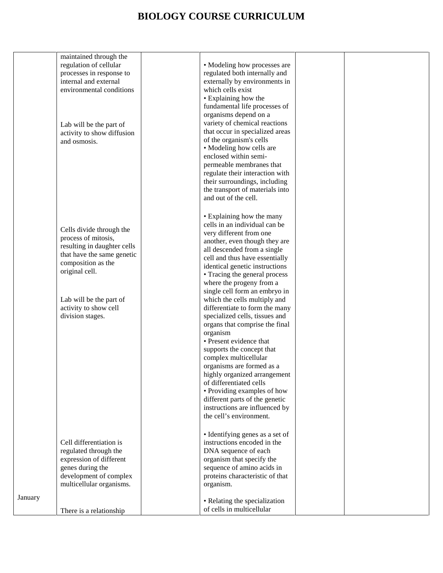|         | maintained through the      |                                                            |
|---------|-----------------------------|------------------------------------------------------------|
|         | regulation of cellular      | • Modeling how processes are                               |
|         | processes in response to    | regulated both internally and                              |
|         | internal and external       | externally by environments in                              |
|         | environmental conditions    | which cells exist                                          |
|         |                             | • Explaining how the                                       |
|         |                             | fundamental life processes of                              |
|         |                             | organisms depend on a                                      |
|         | Lab will be the part of     | variety of chemical reactions                              |
|         | activity to show diffusion  | that occur in specialized areas                            |
|         | and osmosis.                | of the organism's cells                                    |
|         |                             | • Modeling how cells are                                   |
|         |                             | enclosed within semi-                                      |
|         |                             | permeable membranes that                                   |
|         |                             | regulate their interaction with                            |
|         |                             | their surroundings, including                              |
|         |                             | the transport of materials into                            |
|         |                             | and out of the cell.                                       |
|         |                             |                                                            |
|         |                             | • Explaining how the many                                  |
|         |                             | cells in an individual can be                              |
|         | Cells divide through the    | very different from one                                    |
|         | process of mitosis,         | another, even though they are                              |
|         | resulting in daughter cells | all descended from a single                                |
|         | that have the same genetic  | cell and thus have essentially                             |
|         | composition as the          | identical genetic instructions                             |
|         | original cell.              | • Tracing the general process                              |
|         |                             | where the progeny from a                                   |
|         |                             | single cell form an embryo in                              |
|         | Lab will be the part of     | which the cells multiply and                               |
|         | activity to show cell       | differentiate to form the many                             |
|         | division stages.            | specialized cells, tissues and                             |
|         |                             | organs that comprise the final                             |
|         |                             | organism                                                   |
|         |                             | • Present evidence that                                    |
|         |                             | supports the concept that                                  |
|         |                             | complex multicellular                                      |
|         |                             | organisms are formed as a                                  |
|         |                             | highly organized arrangement                               |
|         |                             | of differentiated cells                                    |
|         |                             | • Providing examples of how                                |
|         |                             | different parts of the genetic                             |
|         |                             | instructions are influenced by                             |
|         |                             | the cell's environment.                                    |
|         |                             |                                                            |
|         |                             | • Identifying genes as a set of                            |
|         | Cell differentiation is     | instructions encoded in the                                |
|         | regulated through the       | DNA sequence of each                                       |
|         | expression of different     | organism that specify the                                  |
|         | genes during the            | sequence of amino acids in                                 |
|         | development of complex      | proteins characteristic of that                            |
|         | multicellular organisms.    | organism.                                                  |
| January |                             |                                                            |
|         |                             | • Relating the specialization<br>of cells in multicellular |
|         | There is a relationship     |                                                            |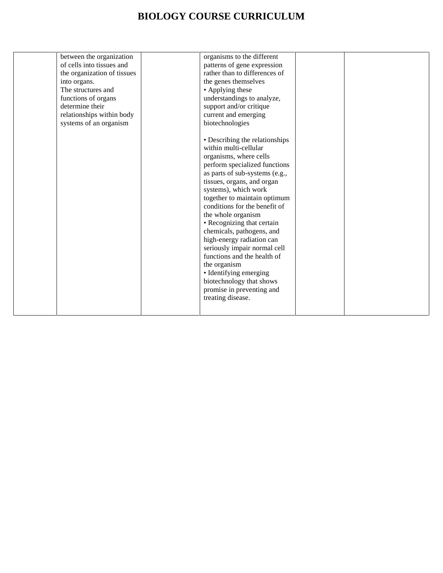| into organs.<br>determine their | between the organization<br>of cells into tissues and<br>the organization of tissues<br>The structures and<br>functions of organs | organisms to the different<br>patterns of gene expression<br>rather than to differences of<br>the genes themselves<br>• Applying these<br>understandings to analyze,<br>support and/or critique                                                                                                                                                                                                                                                                                                                                                                                                                             |  |
|---------------------------------|-----------------------------------------------------------------------------------------------------------------------------------|-----------------------------------------------------------------------------------------------------------------------------------------------------------------------------------------------------------------------------------------------------------------------------------------------------------------------------------------------------------------------------------------------------------------------------------------------------------------------------------------------------------------------------------------------------------------------------------------------------------------------------|--|
|                                 | relationships within body<br>systems of an organism                                                                               | current and emerging<br>biotechnologies<br>• Describing the relationships<br>within multi-cellular<br>organisms, where cells<br>perform specialized functions<br>as parts of sub-systems (e.g.,<br>tissues, organs, and organ<br>systems), which work<br>together to maintain optimum<br>conditions for the benefit of<br>the whole organism<br>• Recognizing that certain<br>chemicals, pathogens, and<br>high-energy radiation can<br>seriously impair normal cell<br>functions and the health of<br>the organism<br>• Identifying emerging<br>biotechnology that shows<br>promise in preventing and<br>treating disease. |  |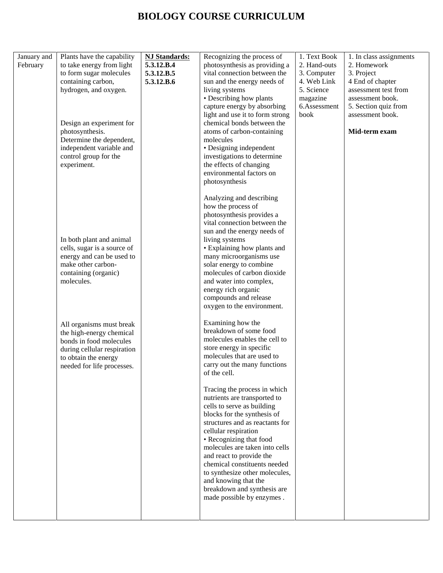| January and<br>February | Plants have the capability<br>to take energy from light<br>to form sugar molecules<br>containing carbon,<br>hydrogen, and oxygen.                                    | <b>NJ Standards:</b><br>5.3.12.B.4<br>5.3.12.B.5<br>5.3.12.B.6 | Recognizing the process of<br>photosynthesis as providing a<br>vital connection between the<br>sun and the energy needs of<br>living systems<br>• Describing how plants<br>capture energy by absorbing<br>light and use it to form strong                                                                                                                                                                                           | 1. Text Book<br>2. Hand-outs<br>3. Computer<br>4. Web Link<br>5. Science<br>magazine<br>6.Assessment<br>book | 1. In class assignments<br>2. Homework<br>3. Project<br>4 End of chapter<br>assessment test from<br>assessment book.<br>5. Section quiz from<br>assessment book. |
|-------------------------|----------------------------------------------------------------------------------------------------------------------------------------------------------------------|----------------------------------------------------------------|-------------------------------------------------------------------------------------------------------------------------------------------------------------------------------------------------------------------------------------------------------------------------------------------------------------------------------------------------------------------------------------------------------------------------------------|--------------------------------------------------------------------------------------------------------------|------------------------------------------------------------------------------------------------------------------------------------------------------------------|
|                         | Design an experiment for<br>photosynthesis.<br>Determine the dependent,<br>independent variable and<br>control group for the<br>experiment.                          |                                                                | chemical bonds between the<br>atoms of carbon-containing<br>molecules<br>• Designing independent<br>investigations to determine<br>the effects of changing<br>environmental factors on<br>photosynthesis                                                                                                                                                                                                                            |                                                                                                              | Mid-term exam                                                                                                                                                    |
|                         | In both plant and animal<br>cells, sugar is a source of<br>energy and can be used to<br>make other carbon-<br>containing (organic)<br>molecules.                     |                                                                | Analyzing and describing<br>how the process of<br>photosynthesis provides a<br>vital connection between the<br>sun and the energy needs of<br>living systems<br>• Explaining how plants and<br>many microorganisms use<br>solar energy to combine<br>molecules of carbon dioxide<br>and water into complex,<br>energy rich organic<br>compounds and release<br>oxygen to the environment.                                           |                                                                                                              |                                                                                                                                                                  |
|                         | All organisms must break<br>the high-energy chemical<br>bonds in food molecules<br>during cellular respiration<br>to obtain the energy<br>needed for life processes. |                                                                | Examining how the<br>breakdown of some food<br>molecules enables the cell to<br>store energy in specific<br>molecules that are used to<br>carry out the many functions<br>of the cell.                                                                                                                                                                                                                                              |                                                                                                              |                                                                                                                                                                  |
|                         |                                                                                                                                                                      |                                                                | Tracing the process in which<br>nutrients are transported to<br>cells to serve as building<br>blocks for the synthesis of<br>structures and as reactants for<br>cellular respiration<br>• Recognizing that food<br>molecules are taken into cells<br>and react to provide the<br>chemical constituents needed<br>to synthesize other molecules,<br>and knowing that the<br>breakdown and synthesis are<br>made possible by enzymes. |                                                                                                              |                                                                                                                                                                  |
|                         |                                                                                                                                                                      |                                                                |                                                                                                                                                                                                                                                                                                                                                                                                                                     |                                                                                                              |                                                                                                                                                                  |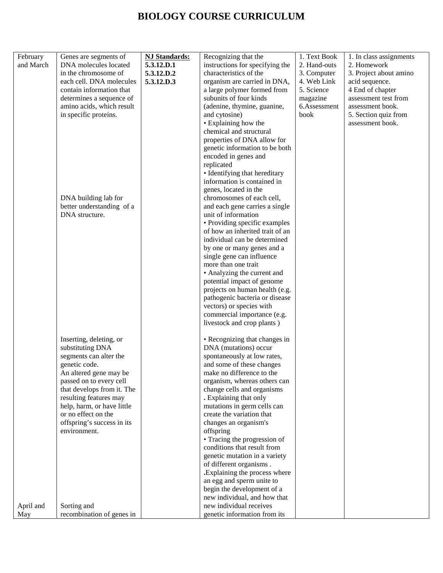| February<br>and March | Genes are segments of<br>DNA molecules located<br>in the chromosome of<br>each cell. DNA molecules<br>contain information that<br>determines a sequence of<br>amino acids, which result<br>in specific proteins.<br>DNA building lab for<br>better understanding of a<br>DNA structure.                               | <b>NJ Standards:</b><br>5.3.12.D.1<br>5.3.12.D.2<br>5.3.12.D.3 | Recognizing that the<br>instructions for specifying the<br>characteristics of the<br>organism are carried in DNA,<br>a large polymer formed from<br>subunits of four kinds<br>(adenine, thymine, guanine,<br>and cytosine)<br>• Explaining how the<br>chemical and structural<br>properties of DNA allow for<br>genetic information to be both<br>encoded in genes and<br>replicated<br>• Identifying that hereditary<br>information is contained in<br>genes, located in the<br>chromosomes of each cell,<br>and each gene carries a single<br>unit of information<br>• Providing specific examples<br>of how an inherited trait of an<br>individual can be determined<br>by one or many genes and a<br>single gene can influence<br>more than one trait<br>• Analyzing the current and<br>potential impact of genome<br>projects on human health (e.g.<br>pathogenic bacteria or disease<br>vectors) or species with<br>commercial importance (e.g. | 1. Text Book<br>2. Hand-outs<br>3. Computer<br>4. Web Link<br>5. Science<br>magazine<br>6.Assessment<br>book | 1. In class assignments<br>2. Homework<br>3. Project about amino<br>acid sequence.<br>4 End of chapter<br>assessment test from<br>assessment book.<br>5. Section quiz from<br>assessment book. |
|-----------------------|-----------------------------------------------------------------------------------------------------------------------------------------------------------------------------------------------------------------------------------------------------------------------------------------------------------------------|----------------------------------------------------------------|-------------------------------------------------------------------------------------------------------------------------------------------------------------------------------------------------------------------------------------------------------------------------------------------------------------------------------------------------------------------------------------------------------------------------------------------------------------------------------------------------------------------------------------------------------------------------------------------------------------------------------------------------------------------------------------------------------------------------------------------------------------------------------------------------------------------------------------------------------------------------------------------------------------------------------------------------------|--------------------------------------------------------------------------------------------------------------|------------------------------------------------------------------------------------------------------------------------------------------------------------------------------------------------|
| April and             | Inserting, deleting, or<br>substituting DNA<br>segments can alter the<br>genetic code.<br>An altered gene may be<br>passed on to every cell<br>that develops from it. The<br>resulting features may<br>help, harm, or have little<br>or no effect on the<br>offspring's success in its<br>environment.<br>Sorting and |                                                                | livestock and crop plants)<br>• Recognizing that changes in<br>DNA (mutations) occur<br>spontaneously at low rates,<br>and some of these changes<br>make no difference to the<br>organism, whereas others can<br>change cells and organisms<br>. Explaining that only<br>mutations in germ cells can<br>create the variation that<br>changes an organism's<br>offspring<br>• Tracing the progression of<br>conditions that result from<br>genetic mutation in a variety<br>of different organisms.<br>. Explaining the process where<br>an egg and sperm unite to<br>begin the development of a<br>new individual, and how that<br>new individual receives                                                                                                                                                                                                                                                                                            |                                                                                                              |                                                                                                                                                                                                |
| May                   | recombination of genes in                                                                                                                                                                                                                                                                                             |                                                                | genetic information from its                                                                                                                                                                                                                                                                                                                                                                                                                                                                                                                                                                                                                                                                                                                                                                                                                                                                                                                          |                                                                                                              |                                                                                                                                                                                                |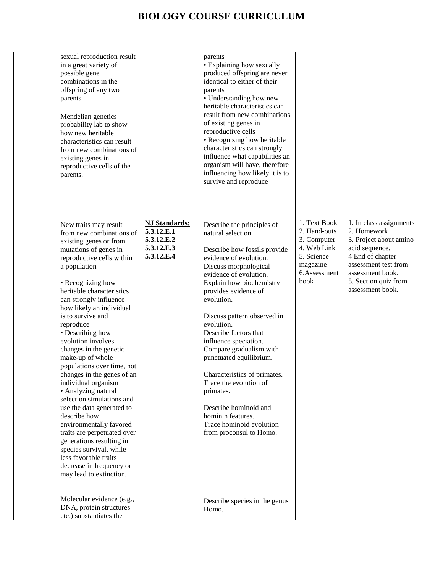| sexual reproduction result<br>in a great variety of<br>possible gene<br>combinations in the<br>offspring of any two<br>parents.<br>Mendelian genetics<br>probability lab to show<br>how new heritable<br>characteristics can result<br>from new combinations of<br>existing genes in<br>reproductive cells of the<br>parents.                                                                                                                                                                                                                                                                                                                                                                                                                                            |                                                                              | parents<br>• Explaining how sexually<br>produced offspring are never<br>identical to either of their<br>parents<br>• Understanding how new<br>heritable characteristics can<br>result from new combinations<br>of existing genes in<br>reproductive cells<br>• Recognizing how heritable<br>characteristics can strongly<br>influence what capabilities an<br>organism will have, therefore<br>influencing how likely it is to<br>survive and reproduce                                                                                                          |                                                                                                              |                                                                                                                                                                                                |
|--------------------------------------------------------------------------------------------------------------------------------------------------------------------------------------------------------------------------------------------------------------------------------------------------------------------------------------------------------------------------------------------------------------------------------------------------------------------------------------------------------------------------------------------------------------------------------------------------------------------------------------------------------------------------------------------------------------------------------------------------------------------------|------------------------------------------------------------------------------|------------------------------------------------------------------------------------------------------------------------------------------------------------------------------------------------------------------------------------------------------------------------------------------------------------------------------------------------------------------------------------------------------------------------------------------------------------------------------------------------------------------------------------------------------------------|--------------------------------------------------------------------------------------------------------------|------------------------------------------------------------------------------------------------------------------------------------------------------------------------------------------------|
| New traits may result<br>from new combinations of<br>existing genes or from<br>mutations of genes in<br>reproductive cells within<br>a population<br>• Recognizing how<br>heritable characteristics<br>can strongly influence<br>how likely an individual<br>is to survive and<br>reproduce<br>• Describing how<br>evolution involves<br>changes in the genetic<br>make-up of whole<br>populations over time, not<br>changes in the genes of an<br>individual organism<br>• Analyzing natural<br>selection simulations and<br>use the data generated to<br>describe how<br>environmentally favored<br>traits are perpetuated over<br>generations resulting in<br>species survival, while<br>less favorable traits<br>decrease in frequency or<br>may lead to extinction. | <b>NJ Standards:</b><br>5.3.12.E.1<br>5.3.12.E.2<br>5.3.12.E.3<br>5.3.12.E.4 | Describe the principles of<br>natural selection.<br>Describe how fossils provide<br>evidence of evolution.<br>Discuss morphological<br>evidence of evolution.<br>Explain how biochemistry<br>provides evidence of<br>evolution.<br>Discuss pattern observed in<br>evolution.<br>Describe factors that<br>influence speciation.<br>Compare gradualism with<br>punctuated equilibrium.<br>Characteristics of primates.<br>Trace the evolution of<br>primates.<br>Describe hominoid and<br>hominin features.<br>Trace hominoid evolution<br>from proconsul to Homo. | 1. Text Book<br>2. Hand-outs<br>3. Computer<br>4. Web Link<br>5. Science<br>magazine<br>6.Assessment<br>book | 1. In class assignments<br>2. Homework<br>3. Project about amino<br>acid sequence.<br>4 End of chapter<br>assessment test from<br>assessment book.<br>5. Section quiz from<br>assessment book. |
| Molecular evidence (e.g.,<br>DNA, protein structures<br>etc.) substantiates the                                                                                                                                                                                                                                                                                                                                                                                                                                                                                                                                                                                                                                                                                          |                                                                              | Describe species in the genus<br>Homo.                                                                                                                                                                                                                                                                                                                                                                                                                                                                                                                           |                                                                                                              |                                                                                                                                                                                                |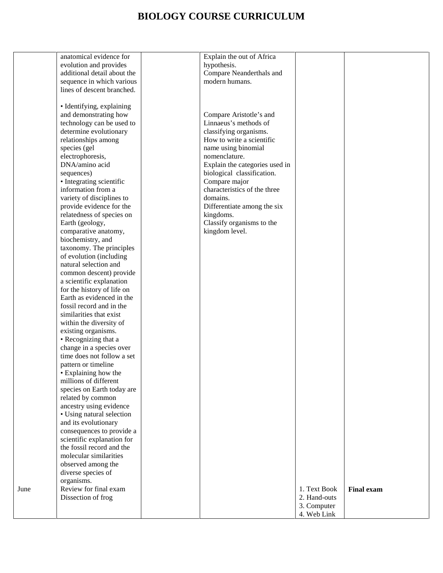|      | anatomical evidence for     | Explain the out of Africa      |              |                   |
|------|-----------------------------|--------------------------------|--------------|-------------------|
|      | evolution and provides      | hypothesis.                    |              |                   |
|      | additional detail about the | Compare Neanderthals and       |              |                   |
|      |                             |                                |              |                   |
|      | sequence in which various   | modern humans.                 |              |                   |
|      | lines of descent branched.  |                                |              |                   |
|      |                             |                                |              |                   |
|      | · Identifying, explaining   |                                |              |                   |
|      |                             |                                |              |                   |
|      | and demonstrating how       | Compare Aristotle's and        |              |                   |
|      | technology can be used to   | Linnaeus's methods of          |              |                   |
|      | determine evolutionary      | classifying organisms.         |              |                   |
|      | relationships among         | How to write a scientific      |              |                   |
|      | species (gel                | name using binomial            |              |                   |
|      |                             |                                |              |                   |
|      | electrophoresis,            | nomenclature.                  |              |                   |
|      | DNA/amino acid              | Explain the categories used in |              |                   |
|      | sequences)                  | biological classification.     |              |                   |
|      | • Integrating scientific    | Compare major                  |              |                   |
|      | information from a          | characteristics of the three   |              |                   |
|      |                             |                                |              |                   |
|      | variety of disciplines to   | domains.                       |              |                   |
|      | provide evidence for the    | Differentiate among the six    |              |                   |
|      | relatedness of species on   | kingdoms.                      |              |                   |
|      | Earth (geology,             | Classify organisms to the      |              |                   |
|      |                             |                                |              |                   |
|      | comparative anatomy,        | kingdom level.                 |              |                   |
|      | biochemistry, and           |                                |              |                   |
|      | taxonomy. The principles    |                                |              |                   |
|      | of evolution (including     |                                |              |                   |
|      | natural selection and       |                                |              |                   |
|      |                             |                                |              |                   |
|      | common descent) provide     |                                |              |                   |
|      | a scientific explanation    |                                |              |                   |
|      | for the history of life on  |                                |              |                   |
|      | Earth as evidenced in the   |                                |              |                   |
|      | fossil record and in the    |                                |              |                   |
|      | similarities that exist     |                                |              |                   |
|      |                             |                                |              |                   |
|      | within the diversity of     |                                |              |                   |
|      | existing organisms.         |                                |              |                   |
|      | • Recognizing that a        |                                |              |                   |
|      | change in a species over    |                                |              |                   |
|      | time does not follow a set  |                                |              |                   |
|      | pattern or timeline         |                                |              |                   |
|      |                             |                                |              |                   |
|      | • Explaining how the        |                                |              |                   |
|      | millions of different       |                                |              |                   |
|      | species on Earth today are  |                                |              |                   |
|      | related by common           |                                |              |                   |
|      | ancestry using evidence     |                                |              |                   |
|      | • Using natural selection   |                                |              |                   |
|      |                             |                                |              |                   |
|      | and its evolutionary        |                                |              |                   |
|      | consequences to provide a   |                                |              |                   |
|      | scientific explanation for  |                                |              |                   |
|      | the fossil record and the   |                                |              |                   |
|      | molecular similarities      |                                |              |                   |
|      | observed among the          |                                |              |                   |
|      |                             |                                |              |                   |
|      | diverse species of          |                                |              |                   |
|      | organisms.                  |                                |              |                   |
| June | Review for final exam       |                                | 1. Text Book | <b>Final exam</b> |
|      | Dissection of frog          |                                | 2. Hand-outs |                   |
|      |                             |                                | 3. Computer  |                   |
|      |                             |                                | 4. Web Link  |                   |
|      |                             |                                |              |                   |